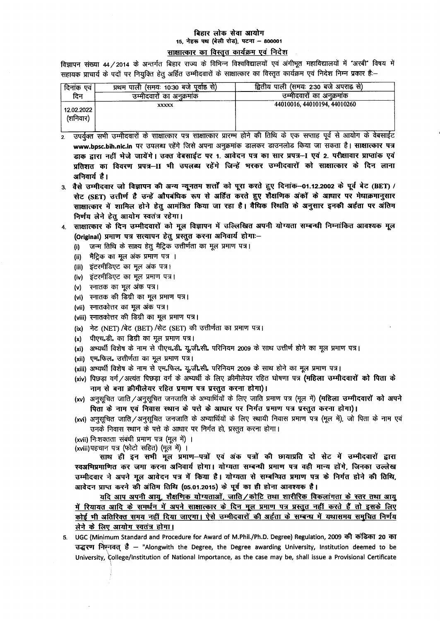## बिहार लोक सेवा आयोग 15. नेहरू पथ (बेली रोड), पटना - 800001

## साक्षात्कार का विस्तृत कार्यक्रम एवं निदेश

विज्ञापन संख्या 44 / 2014 के अन्तर्गत बिहार राज्य के विभिन्न विश्वविद्यालयों एवं अंगीभूत महाविद्यालयों में "अरबी" विषय में सहायक प्राचार्य के पदों पर नियुक्ति हेतू अर्हित उम्मीदवारों के साक्षात्कार का विस्तृत कार्यक्रम एवं निदेश निम्न प्रकार है:--

| एव<br>दिनाक            | प्रथम पाली (समयः 10:30 बजे पूर्वाह्न से) | द्वितीय पाली (समयः 2:30 बजे अपराह्न से) |
|------------------------|------------------------------------------|-----------------------------------------|
| दिन                    | उम्मीदवारो का अनुक्रमांक                 | उम्मीदवारो का अनुक्रमांक                |
| 12.02.2022<br>(शनिवार) | <b>XXXXX</b>                             | 44010016, 44010194, 44010260            |

- उपर्युक्त सभी उम्मीदवारों के साक्षात्कार पत्र साक्षात्कार प्रारम्भ होने की तिथि के एक सप्ताह पूर्व से आयोग के वेबसाईट www.bpsc.bih.nic.in पर उपलब्ध रहेंगे जिसे अपना अनुक्रमांक डालकर डाउनलोड किया जा सकता है। साक्षात्कार पत्र डाक द्वारा नहीं भेजे जायेंगे। उक्त वेबसाईट पर 1. आवेदन पत्र का सार प्रपत्र--I एवं 2. परीक्षावार प्राप्तांक एवं प्रतिशत का विवरण प्रपत्र--II भी उपलब्ध रहेंगे जिन्हें भरकर उम्मीदवारों को साक्षात्कार के दिन लाना अनिवार्य है।
- 3. वैसे उम्मीदवार जो विज्ञापन की अन्य न्यूनतम शर्त्तों को पूरा करते हुए दिनांक-01.12.2002 के पूर्व बेट (BET) / सेट (SET) उत्तीर्ण है उन्हें औपबंधिक रूप से अर्हित करते हुए शैक्षणिक अंकों के आधार पर मेधाक्रमानुसार साक्षात्कार में शामिल होने हेतु आमंत्रित किया जा रहा है। वैधिक स्थिति के अनुसार इनकी अर्हता पर अंतिम निर्णय लेने हेतु आयोग स्वतंत्र रहेगा।
- साक्षात्कार के दिन उम्मीदवारों को मूल विज्ञापन में उल्लिखित अपनी योग्यता सम्बन्धी निम्नांकित आवश्यक मूल 4. (Original) प्रमाण पत्र सत्यापन हेतु प्रस्तुत करना अनिवार्य होगा:-
	- जन्म तिथि के साक्ष्य हेतु मैट्रिक उत्तीर्णता का मूल प्रमाण पत्र।  $(i)$
	- मैट्रिक का मूल अंक प्रमाण पत्र ।  $(ii)$
	- (iii) इंटरमीडिएट का मूल अंक पत्र।
	- (iv) इंटरमीडिएट का मूल प्रमाण पत्र।
	- (v) स्नातक का मूल अंक पत्र।
	- (vi) स्नातक की डिग्री का मूल प्रमाण पत्र।
	- (vii) स्नातकोत्तर का मूल अंक पत्र।
	- (viii) स्नातकोत्तर की डिग्री का मूल प्रमाण पत्र।
	- (ix) नेट (NET) /बेट (BET) /सेट (SET) की उत्तीर्णता का प्रमाण पत्र।
	- पीएच.डी. का डिग्री का मूल प्रमाण पत्र।  $(x)$
	- (xi) अभ्यर्थी विशेष के नाम से पीएच.डी. यू.जी.सी. परिनियम 2009 के साथ उत्तीर्ण होने का मूल प्रमाण पत्र।
	- (xii) एम.फिल. उत्तीर्णता का मूल प्रमाण पत्र।
	- (xiii) अभ्यर्थी विशेष के नाम से एम.फिल. यू.जी.सी. परिनियम 2009 के साथ होने का मूल प्रमाण पत्र।
	- (xiv) पिछड़ा वर्ग / अत्यंत पिछड़ा वर्ग के अभ्यर्थी के लिए क्रीमीलेयर रहित घोषणा पत्र (महिला उम्मीदवारों को पिता के नाम से बना क्रीमीलेयर रहित प्रमाण पत्र प्रस्तुत करना होगा)।
	- (xv) अनुसूचित जाति ⁄ अनुसूचित जनजाति के अभ्यार्थियों के लिए जाति प्रमाण पत्र (मूल में) **(महिला उम्मीदवारों को अपने** पिता के नाम एवं निवास स्थान के पत्ते के आधार पर निर्गत प्रमाण पत्र प्रस्तुत करना होगा)।
	- (xvi) अनुसूचित जाति/अनुसूचित जनजाति के अभ्यार्थियों के लिए स्थायी निवास प्रमाण पत्र (मूल में), जो पिता के नाम एवं उनके निवास स्थान के पत्ते के आधार पर निर्गत हो, प्रस्तुत करना होगा।
	- (xvii) निःशक्तता संबंधी प्रमाण पत्र (मूल में) ।
	- (xviii) पहचान पत्र (फोटो सहित) (मूल में) ।

साथ ही इन सभी मूल प्रमाण-पत्रों एवं अंक पत्रों की छायाप्रति दो सेट में उम्मीदवारों द्वारा स्वअभिप्रमाणित कर जमा करना अनिवार्य होगा। योग्यता सम्बन्धी प्रमाण पत्र वही मान्य होंगे. जिनका उल्लेख उम्मीदवार ने अपने मूल आवेदन पत्र में किया है। योग्यता से सम्बन्धित प्रमाण पत्र के निर्गत होने की तिथि, आवेदन प्राप्त करने की अंतिम तिथि (05.01.2015) के पूर्व का ही होना आवश्यक है।

यदि आप अपनी आयु, शैक्षणिक योग्यताओं, जाति/कोटि तथा शारीरिक विकलांगता के स्तर तथा आयु में रियायत आदि के समर्थन में अपने साक्षात्कार के दिन मूल प्रमाण पत्र प्रस्तुत नहीं करते हैं तो इसके लिए कोई भी अतिरिक्त समय नहीं दिया जाएगा। ऐसे उम्मीदवारों की अर्हता के सम्बन्ध में यथासमय समुचित निर्णय लेने के लिए आयोग स्वतंत्र होगा।

UGC (Minimum Standard and Procedure for Award of M.Phil./Ph.D. Degree) Regulation, 2009 की कंडिका 20 का  $5<sub>1</sub>$ उद्धरण निस्नवत् है -- "Alongwith the Degree, the Degree awarding University, Institution deemed to be University, College/Institution of National Importance, as the case may be, shall issue a Provisional Certificate